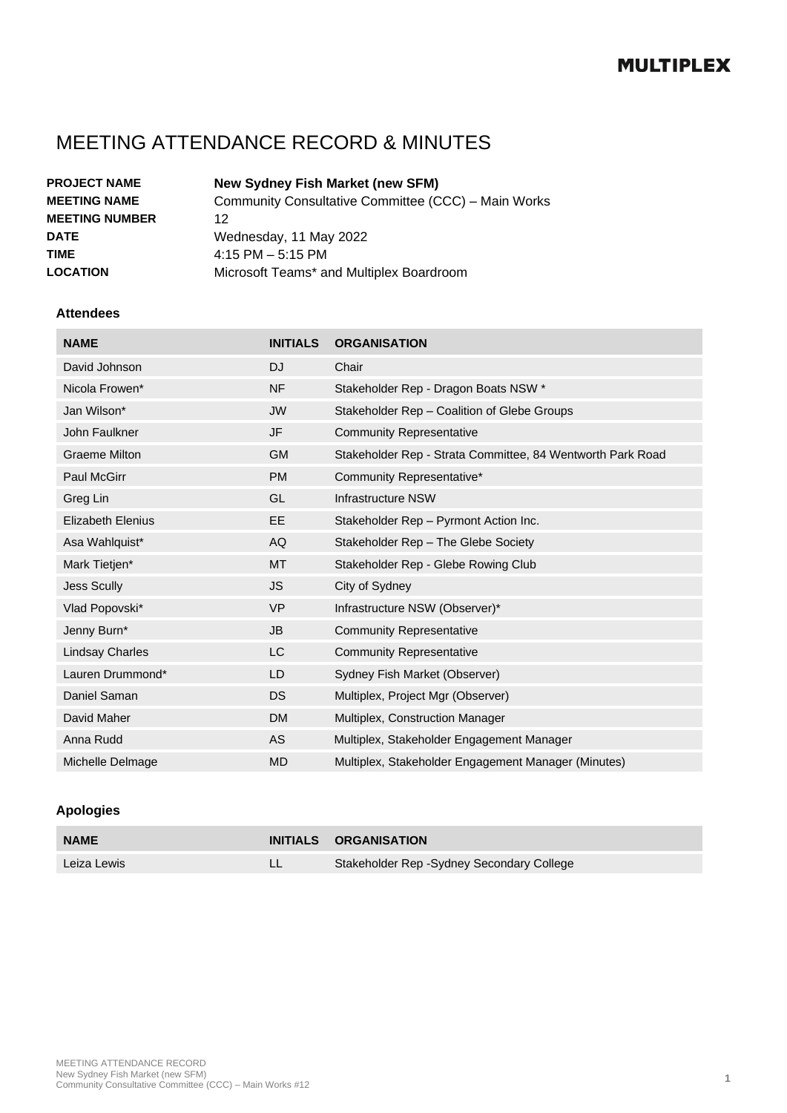# MEETING ATTENDANCE RECORD & MINUTES

| <b>PROJECT NAME</b>   | <b>New Sydney Fish Market (new SFM)</b>             |
|-----------------------|-----------------------------------------------------|
| <b>MEETING NAME</b>   | Community Consultative Committee (CCC) - Main Works |
| <b>MEETING NUMBER</b> | 12                                                  |
| <b>DATE</b>           | Wednesday, 11 May 2022                              |
| <b>TIME</b>           | $4:15$ PM $-5:15$ PM                                |
| <b>LOCATION</b>       | Microsoft Teams* and Multiplex Boardroom            |

#### **Attendees**

| <b>NAME</b>              | <b>INITIALS</b> | <b>ORGANISATION</b>                                        |
|--------------------------|-----------------|------------------------------------------------------------|
| David Johnson            | <b>DJ</b>       | Chair                                                      |
| Nicola Frowen*           | <b>NF</b>       | Stakeholder Rep - Dragon Boats NSW *                       |
| Jan Wilson*              | <b>JW</b>       | Stakeholder Rep - Coalition of Glebe Groups                |
| John Faulkner            | <b>JF</b>       | <b>Community Representative</b>                            |
| Graeme Milton            | <b>GM</b>       | Stakeholder Rep - Strata Committee, 84 Wentworth Park Road |
| <b>Paul McGirr</b>       | <b>PM</b>       | Community Representative*                                  |
| Greg Lin                 | GL              | Infrastructure NSW                                         |
| <b>Elizabeth Elenius</b> | EE.             | Stakeholder Rep - Pyrmont Action Inc.                      |
| Asa Wahlquist*           | AQ              | Stakeholder Rep - The Glebe Society                        |
| Mark Tietjen*            | <b>MT</b>       | Stakeholder Rep - Glebe Rowing Club                        |
| <b>Jess Scully</b>       | <b>JS</b>       | City of Sydney                                             |
| Vlad Popovski*           | <b>VP</b>       | Infrastructure NSW (Observer)*                             |
| Jenny Burn*              | <b>JB</b>       | <b>Community Representative</b>                            |
| <b>Lindsay Charles</b>   | LC              | <b>Community Representative</b>                            |
| Lauren Drummond*         | LD              | Sydney Fish Market (Observer)                              |
| Daniel Saman             | DS.             | Multiplex, Project Mgr (Observer)                          |
| David Maher              | <b>DM</b>       | Multiplex, Construction Manager                            |
| Anna Rudd                | AS              | Multiplex, Stakeholder Engagement Manager                  |
| Michelle Delmage         | <b>MD</b>       | Multiplex, Stakeholder Engagement Manager (Minutes)        |

#### **Apologies**

| <b>NAME</b> | INITIALS ORGANISATION                      |
|-------------|--------------------------------------------|
| Leiza Lewis | Stakeholder Rep - Sydney Secondary College |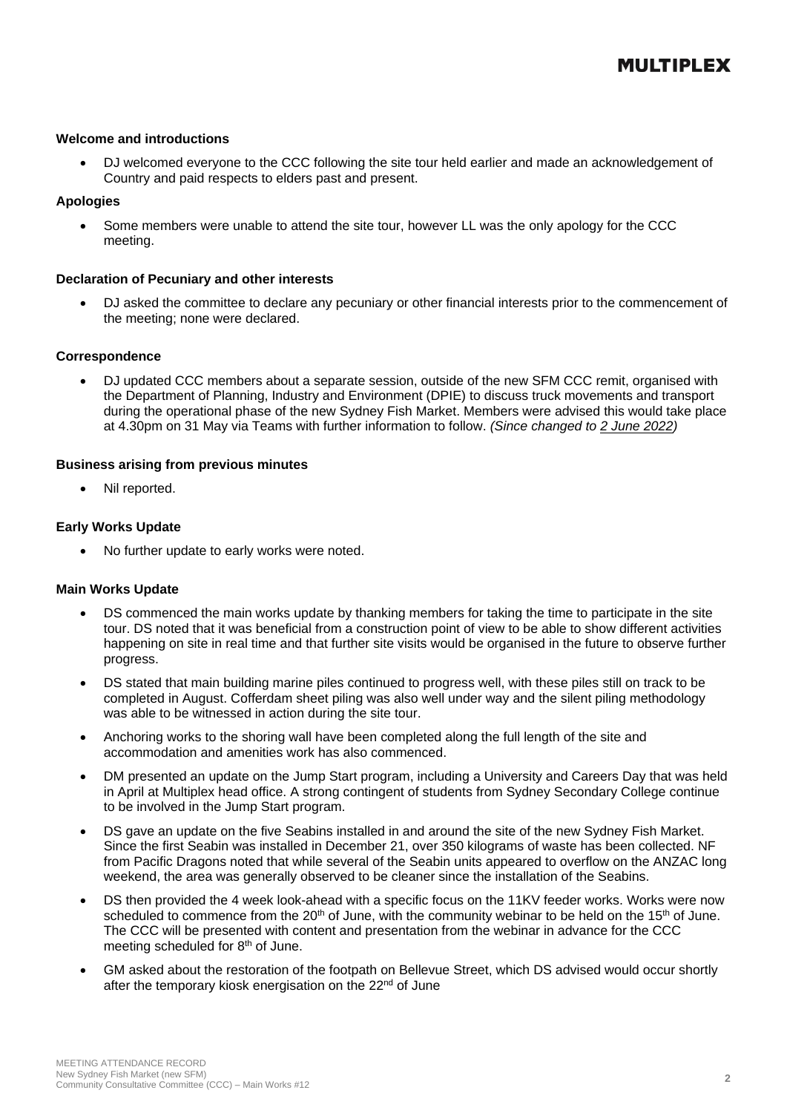#### **Welcome and introductions**

• DJ welcomed everyone to the CCC following the site tour held earlier and made an acknowledgement of Country and paid respects to elders past and present.

#### **Apologies**

• Some members were unable to attend the site tour, however LL was the only apology for the CCC meeting.

#### **Declaration of Pecuniary and other interests**

• DJ asked the committee to declare any pecuniary or other financial interests prior to the commencement of the meeting; none were declared.

#### **Correspondence**

• DJ updated CCC members about a separate session, outside of the new SFM CCC remit, organised with the Department of Planning, Industry and Environment (DPIE) to discuss truck movements and transport during the operational phase of the new Sydney Fish Market. Members were advised this would take place at 4.30pm on 31 May via Teams with further information to follow. *(Since changed to 2 June 2022)*

#### **Business arising from previous minutes**

Nil reported.

#### **Early Works Update**

• No further update to early works were noted.

#### **Main Works Update**

- DS commenced the main works update by thanking members for taking the time to participate in the site tour. DS noted that it was beneficial from a construction point of view to be able to show different activities happening on site in real time and that further site visits would be organised in the future to observe further progress.
- DS stated that main building marine piles continued to progress well, with these piles still on track to be completed in August. Cofferdam sheet piling was also well under way and the silent piling methodology was able to be witnessed in action during the site tour.
- Anchoring works to the shoring wall have been completed along the full length of the site and accommodation and amenities work has also commenced.
- DM presented an update on the Jump Start program, including a University and Careers Day that was held in April at Multiplex head office. A strong contingent of students from Sydney Secondary College continue to be involved in the Jump Start program.
- DS gave an update on the five Seabins installed in and around the site of the new Sydney Fish Market. Since the first Seabin was installed in December 21, over 350 kilograms of waste has been collected. NF from Pacific Dragons noted that while several of the Seabin units appeared to overflow on the ANZAC long weekend, the area was generally observed to be cleaner since the installation of the Seabins.
- DS then provided the 4 week look-ahead with a specific focus on the 11KV feeder works. Works were now scheduled to commence from the  $20<sup>th</sup>$  of June, with the community webinar to be held on the 15<sup>th</sup> of June. The CCC will be presented with content and presentation from the webinar in advance for the CCC meeting scheduled for 8<sup>th</sup> of June.
- GM asked about the restoration of the footpath on Bellevue Street, which DS advised would occur shortly after the temporary kiosk energisation on the 22<sup>nd</sup> of June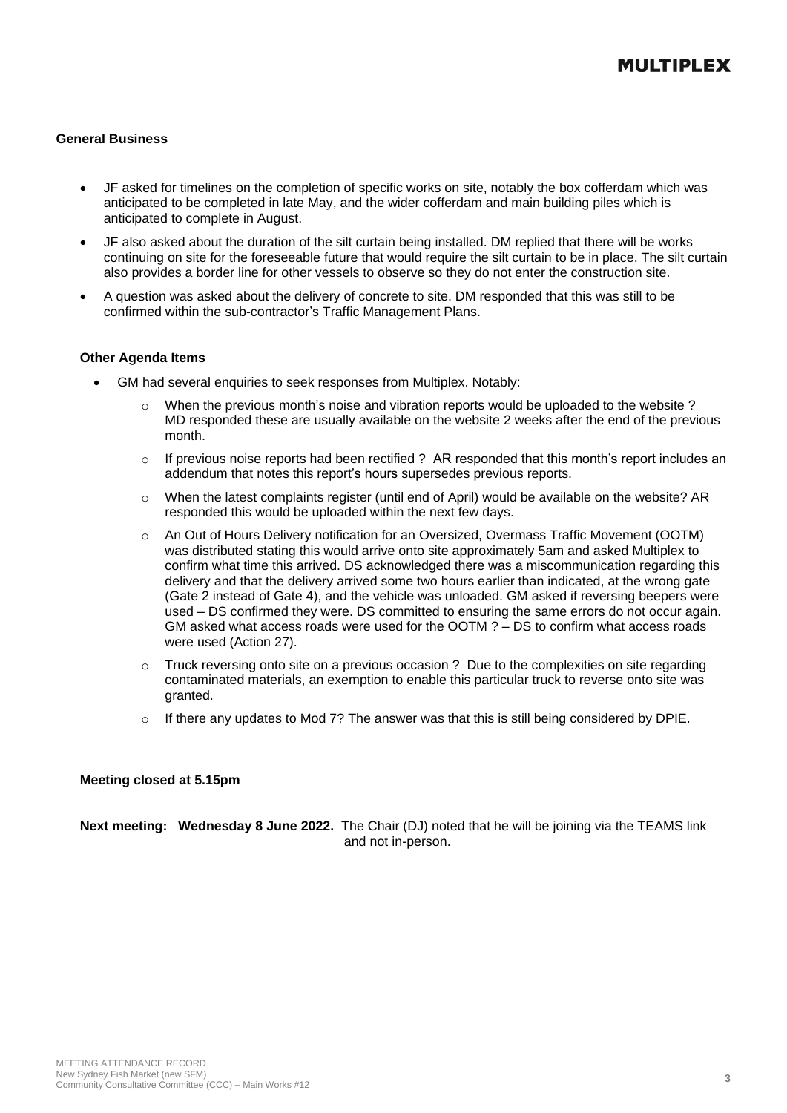#### **General Business**

- JF asked for timelines on the completion of specific works on site, notably the box cofferdam which was anticipated to be completed in late May, and the wider cofferdam and main building piles which is anticipated to complete in August.
- JF also asked about the duration of the silt curtain being installed. DM replied that there will be works continuing on site for the foreseeable future that would require the silt curtain to be in place. The silt curtain also provides a border line for other vessels to observe so they do not enter the construction site.
- A question was asked about the delivery of concrete to site. DM responded that this was still to be confirmed within the sub-contractor's Traffic Management Plans.

#### **Other Agenda Items**

- GM had several enquiries to seek responses from Multiplex. Notably:
	- $\circ$  When the previous month's noise and vibration reports would be uploaded to the website? MD responded these are usually available on the website 2 weeks after the end of the previous month.
	- o If previous noise reports had been rectified ? AR responded that this month's report includes an addendum that notes this report's hours supersedes previous reports.
	- $\circ$  When the latest complaints register (until end of April) would be available on the website? AR responded this would be uploaded within the next few days.
	- o An Out of Hours Delivery notification for an Oversized, Overmass Traffic Movement (OOTM) was distributed stating this would arrive onto site approximately 5am and asked Multiplex to confirm what time this arrived. DS acknowledged there was a miscommunication regarding this delivery and that the delivery arrived some two hours earlier than indicated, at the wrong gate (Gate 2 instead of Gate 4), and the vehicle was unloaded. GM asked if reversing beepers were used – DS confirmed they were. DS committed to ensuring the same errors do not occur again. GM asked what access roads were used for the OOTM ? – DS to confirm what access roads were used (Action 27).
	- o Truck reversing onto site on a previous occasion ? Due to the complexities on site regarding contaminated materials, an exemption to enable this particular truck to reverse onto site was granted.
	- $\circ$  If there any updates to Mod 7? The answer was that this is still being considered by DPIE.

#### **Meeting closed at 5.15pm**

**Next meeting: Wednesday 8 June 2022.** The Chair (DJ) noted that he will be joining via the TEAMS link and not in-person.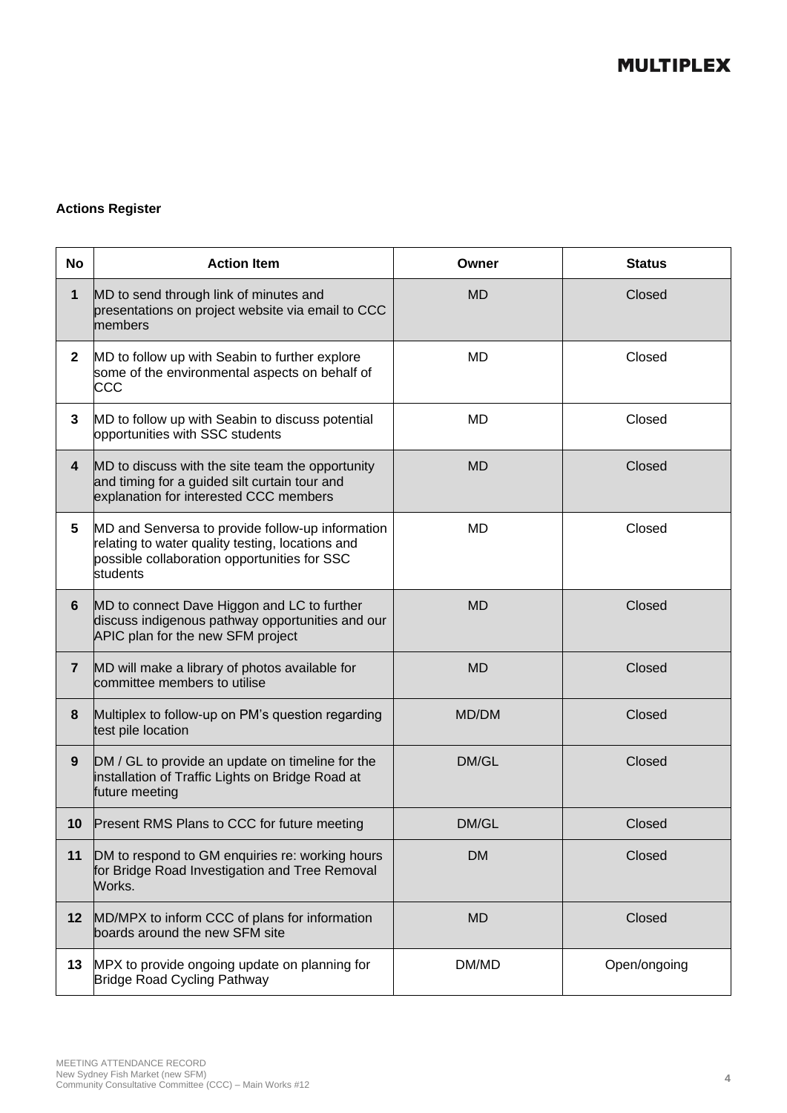### **Actions Register**

| No              | <b>Action Item</b>                                                                                                                                               | Owner     | <b>Status</b> |
|-----------------|------------------------------------------------------------------------------------------------------------------------------------------------------------------|-----------|---------------|
| 1               | MD to send through link of minutes and<br>presentations on project website via email to CCC<br>members                                                           | <b>MD</b> | Closed        |
| $\mathbf{2}$    | MD to follow up with Seabin to further explore<br>some of the environmental aspects on behalf of<br>CCC                                                          | MD        | Closed        |
| 3               | MD to follow up with Seabin to discuss potential<br>opportunities with SSC students                                                                              | MD        | Closed        |
| 4               | MD to discuss with the site team the opportunity<br>and timing for a guided silt curtain tour and<br>explanation for interested CCC members                      | <b>MD</b> | Closed        |
| $5\phantom{.0}$ | MD and Senversa to provide follow-up information<br>relating to water quality testing, locations and<br>possible collaboration opportunities for SSC<br>students | <b>MD</b> | Closed        |
| 6               | MD to connect Dave Higgon and LC to further<br>discuss indigenous pathway opportunities and our<br>APIC plan for the new SFM project                             | <b>MD</b> | Closed        |
| $\overline{7}$  | MD will make a library of photos available for<br>committee members to utilise                                                                                   | <b>MD</b> | Closed        |
| 8               | Multiplex to follow-up on PM's question regarding<br>test pile location                                                                                          | MD/DM     | Closed        |
| 9               | DM / GL to provide an update on timeline for the<br>installation of Traffic Lights on Bridge Road at<br>future meeting                                           | DM/GL     | Closed        |
| 10              | Present RMS Plans to CCC for future meeting                                                                                                                      | DM/GL     | Closed        |
| 11              | DM to respond to GM enquiries re: working hours<br>for Bridge Road Investigation and Tree Removal<br>Works.                                                      | <b>DM</b> | Closed        |
| 12 <sub>2</sub> | MD/MPX to inform CCC of plans for information<br>boards around the new SFM site                                                                                  | <b>MD</b> | Closed        |
| 13              | MPX to provide ongoing update on planning for<br>Bridge Road Cycling Pathway                                                                                     | DM/MD     | Open/ongoing  |